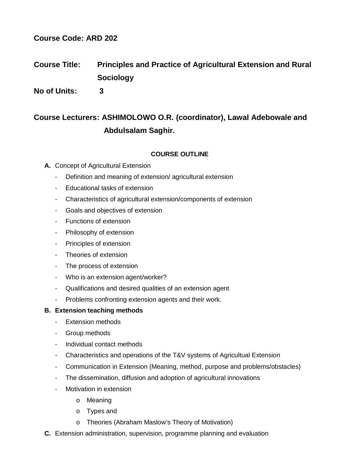# **Course Code: ARD 202**

# **Course Title: Principles and Practice of Agricultural Extension and Rural Sociology**

**No of Units: 3**

# **Course Lecturers: ASHIMOLOWO O.R. (coordinator), Lawal Adebowale and Abdulsalam Saghir.**

# **COURSE OUTLINE**

- **A.** Concept of Agricultural Extension
	- Definition and meaning of extension/ agricultural extension
	- Educational tasks of extension
	- Characteristics of agricultural extension/components of extension
	- Goals and objectives of extension
	- Functions of extension
	- Philosophy of extension
	- Principles of extension
	- Theories of extension
	- The process of extension
	- Who is an extension agent/worker?
	- Qualifications and desired qualities of an extension agent
	- Problems confronting extension agents and their work.

#### **B. Extension teaching methods**

- Extension methods
- Group methods
- Individual contact methods
- Characteristics and operations of the T&V systems of Agricultual Extension
- Communication in Extension (Meaning, method, purpose and problems/obstacles)
- The dissemination, diffusion and adoption of agricultural innovations
- Motivation in extension
	- o Meaning
	- o Types and
	- o Theories (Abraham Maslow's Theory of Motivation)
- **C.** Extension administration, supervision, programme planning and evaluation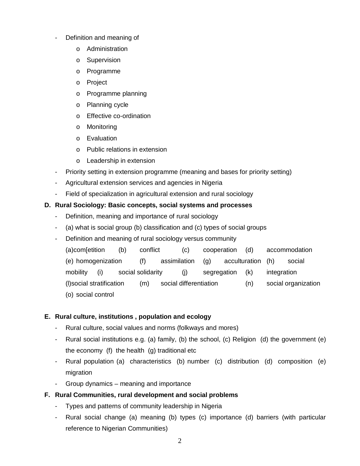- Definition and meaning of
	- o Administration
	- o Supervision
	- o Programme
	- o Project
	- o Programme planning
	- o Planning cycle
	- o Effective co-ordination
	- o Monitoring
	- o Evaluation
	- o Public relations in extension
	- o Leadership in extension
- Priority setting in extension programme (meaning and bases for priority setting)
- Agricultural extension services and agencies in Nigeria
- Field of specialization in agricultural extension and rural sociology

# **D. Rural Sociology: Basic concepts, social systems and processes**

- Definition, meaning and importance of rural sociology
- (a) what is social group (b) classification and (c) types of social groups
- Definition and meaning of rural sociology versus community
	- (a)com[etition (b) conflict (c) cooperation (d) accommodation (e) homogenization (f) assimilation (g) acculturation (h) social mobility (i) social solidarity (j) segregation (k) integration (l)social stratification (m) social differentiation (n) social organization (o) social control

# **E. Rural culture, institutions , population and ecology**

- Rural culture, social values and norms (folkways and mores)
- Rural social institutions e.g. (a) family, (b) the school, (c) Religion (d) the government (e) the economy  $(f)$  the health  $(g)$  traditional etc
- Rural population (a) characteristics (b) number (c) distribution (d) composition (e) migration
- Group dynamics meaning and importance

#### **F. Rural Communities, rural development and social problems**

- Types and patterns of community leadership in Nigeria
- Rural social change (a) meaning (b) types (c) importance (d) barriers (with particular reference to Nigerian Communities)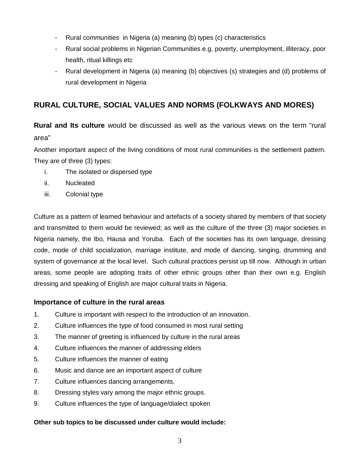- Rural communities in Nigeria (a) meaning (b) types (c) characteristics
- Rural social problems in Nigerian Communities e.g. poverty, unemployment, illiteracy, poor health, ritual killings etc
- Rural development in Nigeria (a) meaning (b) objectives (s) strategies and (d) problems of rural development in Nigeria

# **RURAL CULTURE, SOCIAL VALUES AND NORMS (FOLKWAYS AND MORES)**

**Rural and Its culture** would be discussed as well as the various views on the term "rural area"

Another important aspect of the living conditions of most rural communities is the settlement pattern. They are of three (3) types:

- i. The isolated or dispersed type
- ii. Nucleated
- iii. Colonial type

Culture as a pattern of learned behaviour and artefacts of a society shared by members of that society and transmitted to them would be reviewed; as well as the culture of the three (3) major societies in Nigeria namely, the Ibo, Hausa and Yoruba. Each of the societies has its own language, dressing code, mode of child socialization, marriage institute, and mode of dancing, singing, drumming and system of governance at the local level. Such cultural practices persist up till now. Although in urban areas, some people are adopting traits of other ethnic groups other than their own e.g. English dressing and speaking of English are major cultural traits in Nigeria.

# **Importance of culture in the rural areas**

- 1. Culture is important with respect to the introduction of an innovation.
- 2. Culture influences the type of food consumed in most rural setting
- 3. The manner of greeting is influenced by culture in the rural areas
- 4. Culture influences the manner of addressing elders
- 5. Culture influences the manner of eating
- 6. Music and dance are an important aspect of culture
- 7. Culture influences dancing arrangements.
- 8. Dressing styles vary among the major ethnic groups.
- 9. Culture influences the type of language/dialect spoken

# **Other sub topics to be discussed under culture would include:**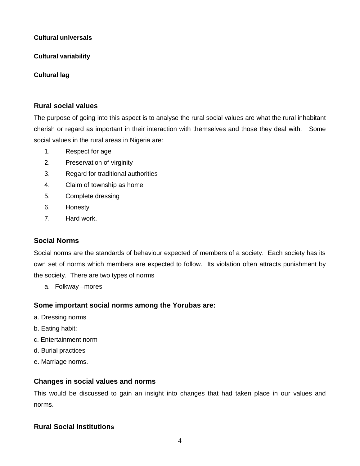#### **Cultural universals**

**Cultural variability**

# **Cultural lag**

# **Rural social values**

The purpose of going into this aspect is to analyse the rural social values are what the rural inhabitant cherish or regard as important in their interaction with themselves and those they deal with. Some social values in the rural areas in Nigeria are:

- 1. Respect for age
- 2. Preservation of virginity
- 3. Regard for traditional authorities
- 4. Claim of township as home
- 5. Complete dressing
- 6. Honesty
- 7. Hard work.

# **Social Norms**

Social norms are the standards of behaviour expected of members of a society. Each society has its own set of norms which members are expected to follow. Its violation often attracts punishment by the society. There are two types of norms

a. Folkway –mores

# **Some important social norms among the Yorubas are:**

- a. Dressing norms
- b. Eating habit:
- c. Entertainment norm
- d. Burial practices
- e. Marriage norms.

# **Changes in social values and norms**

This would be discussed to gain an insight into changes that had taken place in our values and norms.

# **Rural Social Institutions**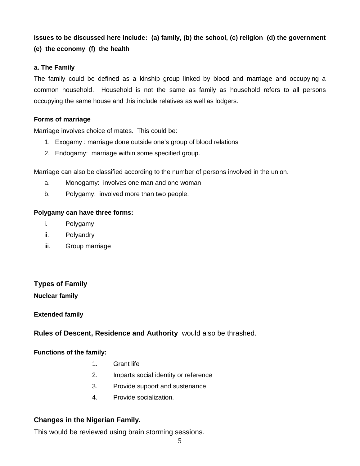# **Issues to be discussed here include: (a) family, (b) the school, (c) religion (d) the government (e) the economy (f) the health**

#### **a. The Family**

The family could be defined as a kinship group linked by blood and marriage and occupying a common household. Household is not the same as family as household refers to all persons occupying the same house and this include relatives as well as lodgers.

#### **Forms of marriage**

Marriage involves choice of mates. This could be:

- 1. Exogamy : marriage done outside one's group of blood relations
- 2. Endogamy: marriage within some specified group.

Marriage can also be classified according to the number of persons involved in the union.

- a. Monogamy: involves one man and one woman
- b. Polygamy: involved more than two people.

#### **Polygamy can have three forms:**

- i. Polygamy
- ii. Polyandry
- iii. Group marriage

# **Types of Family**

# **Nuclear family**

# **Extended family**

**Rules of Descent, Residence and Authority** would also be thrashed.

# **Functions of the family:**

- 1. Grant life
- 2. Imparts social identity or reference
- 3. Provide support and sustenance
- 4. Provide socialization.

# **Changes in the Nigerian Family.**

This would be reviewed using brain storming sessions.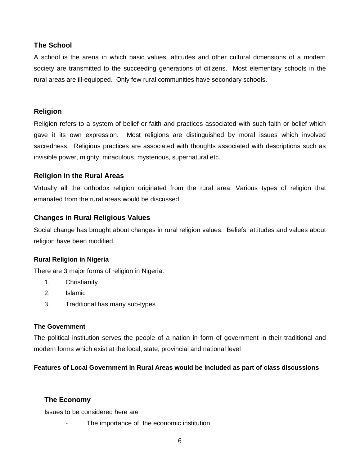#### **The School**

A school is the arena in which basic values, attitudes and other cultural dimensions of a modern society are transmitted to the succeeding generations of citizens. Most elementary schools in the rural areas are ill-equipped. Only few rural communities have secondary schools.

#### **Religion**

Religion refers to a system of belief or faith and practices associated with such faith or belief which gave it its own expression. Most religions are distinguished by moral issues which involved sacredness. Religious practices are associated with thoughts associated with descriptions such as invisible power, mighty, miraculous, mysterious, supernatural etc.

#### **Religion in the Rural Areas**

Virtually all the orthodox religion originated from the rural area. Various types of religion that emanated from the rural areas would be discussed.

# **Changes in Rural Religious Values**

Social change has brought about changes in rural religion values. Beliefs, attitudes and values about religion have been modified.

#### **Rural Religion in Nigeria**

There are 3 major forms of religion in Nigeria.

- 1. Christianity
- 2. Islamic
- 3. Traditional has many sub-types

#### **The Government**

The political institution serves the people of a nation in form of government in their traditional and modern forms which exist at the local, state, provincial and national level

# **Features of Local Government in Rural Areas would be included as part of class discussions**

# **The Economy**

Issues to be considered here are

The importance of the economic institution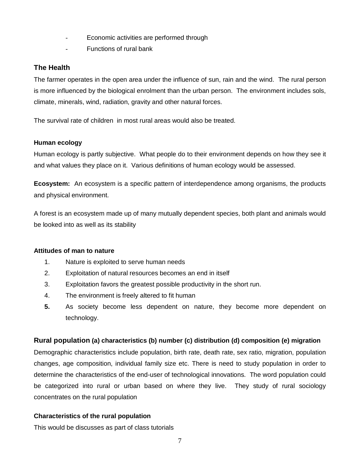- Economic activities are performed through
- Functions of rural bank

# **The Health**

The farmer operates in the open area under the influence of sun, rain and the wind. The rural person is more influenced by the biological enrolment than the urban person. The environment includes sols, climate, minerals, wind, radiation, gravity and other natural forces.

The survival rate of children in most rural areas would also be treated.

#### **Human ecology**

Human ecology is partly subjective. What people do to their environment depends on how they see it and what values they place on it. Various definitions of human ecology would be assessed.

**Ecosystem:** An ecosystem is a specific pattern of interdependence among organisms, the products and physical environment.

A forest is an ecosystem made up of many mutually dependent species, both plant and animals would be looked into as well as its stability

#### **Attitudes of man to nature**

- 1. Nature is exploited to serve human needs
- 2. Exploitation of natural resources becomes an end in itself
- 3. Exploitation favors the greatest possible productivity in the short run.
- 4. The environment is freely altered to fit human
- **5.** As society become less dependent on nature, they become more dependent on technology.

# **Rural population (a) characteristics (b) number (c) distribution (d) composition (e) migration**

Demographic characteristics include population, birth rate, death rate, sex ratio, migration, population changes, age composition, individual family size etc. There is need to study population in order to determine the characteristics of the end-user of technological innovations. The word population could be categorized into rural or urban based on where they live. They study of rural sociology concentrates on the rural population

# **Characteristics of the rural population**

This would be discusses as part of class tutorials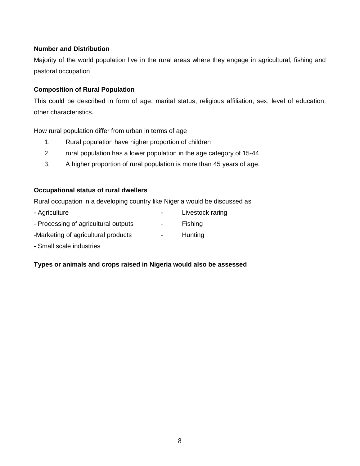#### **Number and Distribution**

Majority of the world population live in the rural areas where they engage in agricultural, fishing and pastoral occupation

#### **Composition of Rural Population**

This could be described in form of age, marital status, religious affiliation, sex, level of education, other characteristics.

How rural population differ from urban in terms of age

- 1. Rural population have higher proportion of children
- 2. rural population has a lower population in the age category of 15-44
- 3. A higher proportion of rural population is more than 45 years of age.

#### **Occupational status of rural dwellers**

Rural occupation in a developing country like Nigeria would be discussed as

- Agriculture  **Livestock raring**
- Processing of agricultural outputs **-** Fishing
- -Marketing of agricultural products Hunting
- Small scale industries

# **Types or animals and crops raised in Nigeria would also be assessed**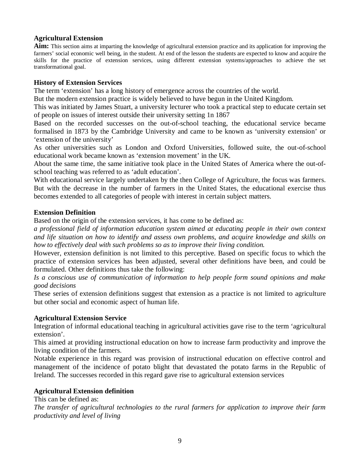#### **Agricultural Extension**

**Aim:** This section aims at imparting the knowledge of agricultural extension practice and its application for improving the farmers' social economic well being, in the student. At end of the lesson the students are expected to know and acquire the skills for the practice of extension services, using different extension systems/approaches to achieve the set transformational goal.

#### **History of Extension Services**

The term 'extension' has a long history of emergence across the countries of the world.

But the modern extension practice is widely believed to have begun in the United Kingdom.

This was initiated by James Stuart, a university lecturer who took a practical step to educate certain set of people on issues of interest outside their university setting 1n 1867

Based on the recorded successes on the out-of-school teaching, the educational service became formalised in 1873 by the Cambridge University and came to be known as 'university extension' or 'extension of the university'

As other universities such as London and Oxford Universities, followed suite, the out-of-school educational work became known as 'extension movement' in the UK.

About the same time, the same initiative took place in the United States of America where the out-ofschool teaching was referred to as 'adult education'.

With educational service largely undertaken by the then College of Agriculture, the focus was farmers. But with the decrease in the number of farmers in the United States, the educational exercise thus becomes extended to all categories of people with interest in certain subject matters.

#### **Extension Definition**

Based on the origin of the extension services, it has come to be defined as:

*a professional field of information education system aimed at educating people in their own context and life situation on how to identify and assess own problems, and acquire knowledge and skills on how to effectively deal with such problems so as to improve their living condition.* 

However, extension definition is not limited to this perceptive. Based on specific focus to which the practice of extension services has been adjusted, several other definitions have been, and could be formulated. Other definitions thus take the following:

*Is a conscious use of communication of information to help people form sound opinions and make good decisions*

These series of extension definitions suggest that extension as a practice is not limited to agriculture but other social and economic aspect of human life.

# **Agricultural Extension Service**

Integration of informal educational teaching in agricultural activities gave rise to the term 'agricultural extension'.

This aimed at providing instructional education on how to increase farm productivity and improve the living condition of the farmers.

Notable experience in this regard was provision of instructional education on effective control and management of the incidence of potato blight that devastated the potato farms in the Republic of Ireland. The successes recorded in this regard gave rise to agricultural extension services

# **Agricultural Extension definition**

This can be defined as:

*The transfer of agricultural technologies to the rural farmers for application to improve their farm productivity and level of living*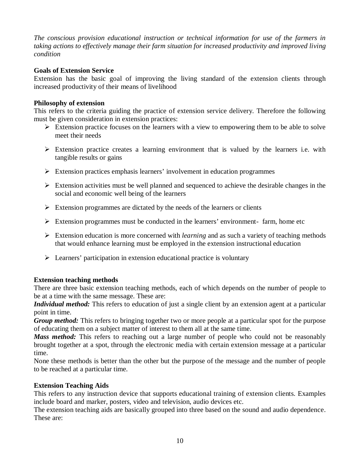*The conscious provision educational instruction or technical information for use of the farmers in taking actions to effectively manage their farm situation for increased productivity and improved living condition*

#### **Goals of Extension Service**

Extension has the basic goal of improving the living standard of the extension clients through increased productivity of their means of livelihood

#### **Philosophy of extension**

This refers to the criteria guiding the practice of extension service delivery. Therefore the following must be given consideration in extension practices:

- $\triangleright$  Extension practice focuses on the learners with a view to empowering them to be able to solve meet their needs
- $\triangleright$  Extension practice creates a learning environment that is valued by the learners i.e. with tangible results or gains
- $\triangleright$  Extension practices emphasis learners' involvement in education programmes
- $\triangleright$  Extension activities must be well planned and sequenced to achieve the desirable changes in the social and economic well being of the learners
- $\triangleright$  Extension programmes are dictated by the needs of the learners or clients
- $\triangleright$  Extension programmes must be conducted in the learners' environment- farm, home etc
- Extension education is more concerned with *learning* and as such a variety of teaching methods that would enhance learning must be employed in the extension instructional education
- $\triangleright$  Learners' participation in extension educational practice is voluntary

# **Extension teaching methods**

There are three basic extension teaching methods, each of which depends on the number of people to be at a time with the same message. These are:

*Individual method:* This refers to education of just a single client by an extension agent at a particular point in time.

*Group method:* This refers to bringing together two or more people at a particular spot for the purpose of educating them on a subject matter of interest to them all at the same time.

*Mass method:* This refers to reaching out a large number of people who could not be reasonably brought together at a spot, through the electronic media with certain extension message at a particular time.

None these methods is better than the other but the purpose of the message and the number of people to be reached at a particular time.

# **Extension Teaching Aids**

This refers to any instruction device that supports educational training of extension clients. Examples include board and marker, posters, video and television, audio devices etc.

The extension teaching aids are basically grouped into three based on the sound and audio dependence. These are: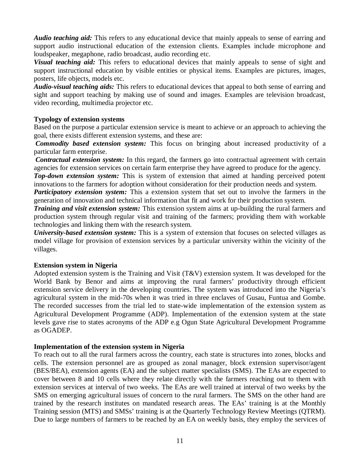*Audio teaching aid:* This refers to any educational device that mainly appeals to sense of earring and support audio instructional education of the extension clients. Examples include microphone and loudspeaker, megaphone, radio broadcast, audio recording etc.

*Visual teaching aid:* This refers to educational devices that mainly appeals to sense of sight and support instructional education by visible entities or physical items. Examples are pictures, images, posters, life objects, models etc.

*Audio-visual teaching aids:* This refers to educational devices that appeal to both sense of earring and sight and support teaching by making use of sound and images. Examples are television broadcast, video recording, multimedia projector etc.

#### **Typology of extension systems**

Based on the purpose a particular extension service is meant to achieve or an approach to achieving the goal, there exists different extension systems, and these are:

*Commodity based extension system:* This focus on bringing about increased productivity of a particular farm enterprise.

*Contractual extension system:* In this regard, the farmers go into contractual agreement with certain agencies for extension services on certain farm enterprise they have agreed to produce for the agency.

*Top-down extension system:* This is system of extension that aimed at handing perceived potent innovations to the farmers for adoption without consideration for their production needs and system.

*Participatory extension system:* This a extension system that set out to involve the farmers in the generation of innovation and technical information that fit and work for their production system.

*Training and visit extension system:* This extension system aims at up-building the rural farmers and production system through regular visit and training of the farmers; providing them with workable technologies and linking them with the research system.

*University-based extension system:* This is a system of extension that focuses on selected villages as model village for provision of extension services by a particular university within the vicinity of the villages.

#### **Extension system in Nigeria**

Adopted extension system is the Training and Visit (T&V) extension system. It was developed for the World Bank by Benor and aims at improving the rural farmers' productivity through efficient extension service delivery in the developing countries. The system was introduced into the Nigeria's agricultural system in the mid-70s when it was tried in three enclaves of Gusau, Funtua and Gombe. The recorded successes from the trial led to state-wide implementation of the extension system as Agricultural Development Programme (ADP). Implementation of the extension system at the state levels gave rise to states acronyms of the ADP e.g Ogun State Agricultural Development Programme as OGADEP.

#### **Implementation of the extension system in Nigeria**

To reach out to all the rural farmers across the country, each state is structures into zones, blocks and cells. The extension personnel are as grouped as zonal manager, block extension supervisor/agent (BES/BEA), extension agents (EA) and the subject matter specialists (SMS). The EAs are expected to cover between 8 and 10 cells where they relate directly with the farmers reaching out to them with extension services at interval of two weeks. The EAs are well trained at interval of two weeks by the SMS on emerging agricultural issues of concern to the rural farmers. The SMS on the other hand are trained by the research institutes on mandated research areas. The EAs' training is at the Monthly Training session (MTS) and SMSs' training is at the Quarterly Technology Review Meetings (QTRM). Due to large numbers of farmers to be reached by an EA on weekly basis, they employ the services of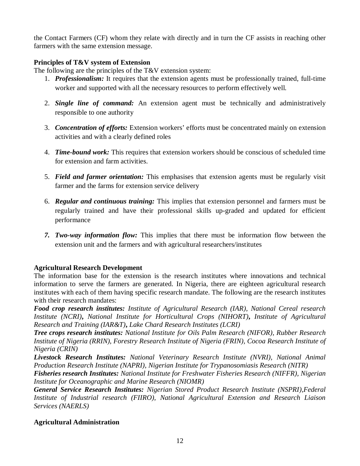the Contact Farmers (CF) whom they relate with directly and in turn the CF assists in reaching other farmers with the same extension message.

#### **Principles of T&V system of Extension**

The following are the principles of the T&V extension system:

- 1. *Professionalism:* It requires that the extension agents must be professionally trained, full-time worker and supported with all the necessary resources to perform effectively well.
- 2. *Single line of command:* An extension agent must be technically and administratively responsible to one authority
- 3. *Concentration of efforts:* Extension workers' efforts must be concentrated mainly on extension activities and with a clearly defined roles
- 4. *Time-bound work:* This requires that extension workers should be conscious of scheduled time for extension and farm activities.
- 5. *Field and farmer orientation:* This emphasises that extension agents must be regularly visit farmer and the farms for extension service delivery
- 6. *Regular and continuous training:* This implies that extension personnel and farmers must be regularly trained and have their professional skills up-graded and updated for efficient performance
- *7. Two-way information flow:* This implies that there must be information flow between the extension unit and the farmers and with agricultural researchers/institutes

# **Agricultural Research Development**

The information base for the extension is the research institutes where innovations and technical information to serve the farmers are generated. In Nigeria, there are eighteen agricultural research institutes with each of them having specific research mandate. The following are the research institutes with their research mandates:

*Food crop research institutes: Institute of Agricultural Research (IAR), National Cereal research Institute (NCRI)***,** *National Institute for Horticultural Crops (NIHORT)***,** *Institute of Agricultural Research and Training (IAR&T)***,** *Lake Chard Research Institutes (LCRI)*

*Tree crops research institutes: National Institute for Oils Palm Research (NIFOR), Rubber Research Institute of Nigeria (RRIN), Forestry Research Institute of Nigeria (FRIN), Cocoa Research Institute of Nigeria (CRIN)*

*Livestock Research Institutes: National Veterinary Research Institute (NVRI), National Animal Production Research Institute (NAPRI), Nigerian Institute for Trypanosomiasis Research (NITR)* 

*Fisheries research Institutes: National Institute for Freshwater Fisheries Research (NIFFR), Nigerian Institute for Oceanographic and Marine Research (NIOMR)*

*General Service Research Institutes: Nigerian Stored Product Research Institute (NSPRI),Federal Institute of Industrial research (FIIRO), National Agricultural Extension and Research Liaison Services (NAERLS)*

# **Agricultural Administration**